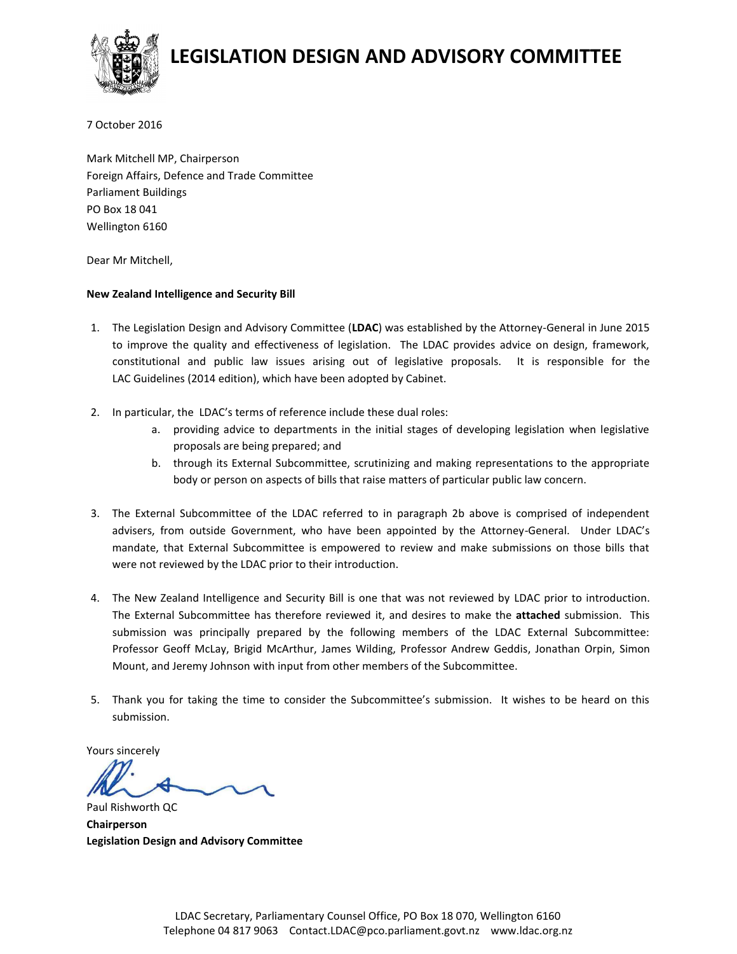

# **LEGISLATION DESIGN AND ADVISORY COMMITTEE**

7 October 2016

Mark Mitchell MP, Chairperson Foreign Affairs, Defence and Trade Committee Parliament Buildings PO Box 18 041 Wellington 6160

Dear Mr Mitchell,

#### **New Zealand Intelligence and Security Bill**

- 1. The Legislation Design and Advisory Committee (**LDAC**) was established by the Attorney-General in June 2015 to improve the quality and effectiveness of legislation. The LDAC provides advice on design, framework, constitutional and public law issues arising out of legislative proposals. It is responsible for the LAC Guidelines (2014 edition), which have been adopted by Cabinet.
- 2. In particular, the LDAC's terms of reference include these dual roles:
	- a. providing advice to departments in the initial stages of developing legislation when legislative proposals are being prepared; and
	- b. through its External Subcommittee, scrutinizing and making representations to the appropriate body or person on aspects of bills that raise matters of particular public law concern.
- 3. The External Subcommittee of the LDAC referred to in paragraph 2b above is comprised of independent advisers, from outside Government, who have been appointed by the Attorney-General. Under LDAC's mandate, that External Subcommittee is empowered to review and make submissions on those bills that were not reviewed by the LDAC prior to their introduction.
- 4. The New Zealand Intelligence and Security Bill is one that was not reviewed by LDAC prior to introduction. The External Subcommittee has therefore reviewed it, and desires to make the **attached** submission. This submission was principally prepared by the following members of the LDAC External Subcommittee: Professor Geoff McLay, Brigid McArthur, James Wilding, Professor Andrew Geddis, Jonathan Orpin, Simon Mount, and Jeremy Johnson with input from other members of the Subcommittee.
- 5. Thank you for taking the time to consider the Subcommittee's submission. It wishes to be heard on this submission.

Yours sincerely

Paul Rishworth QC **Chairperson Legislation Design and Advisory Committee**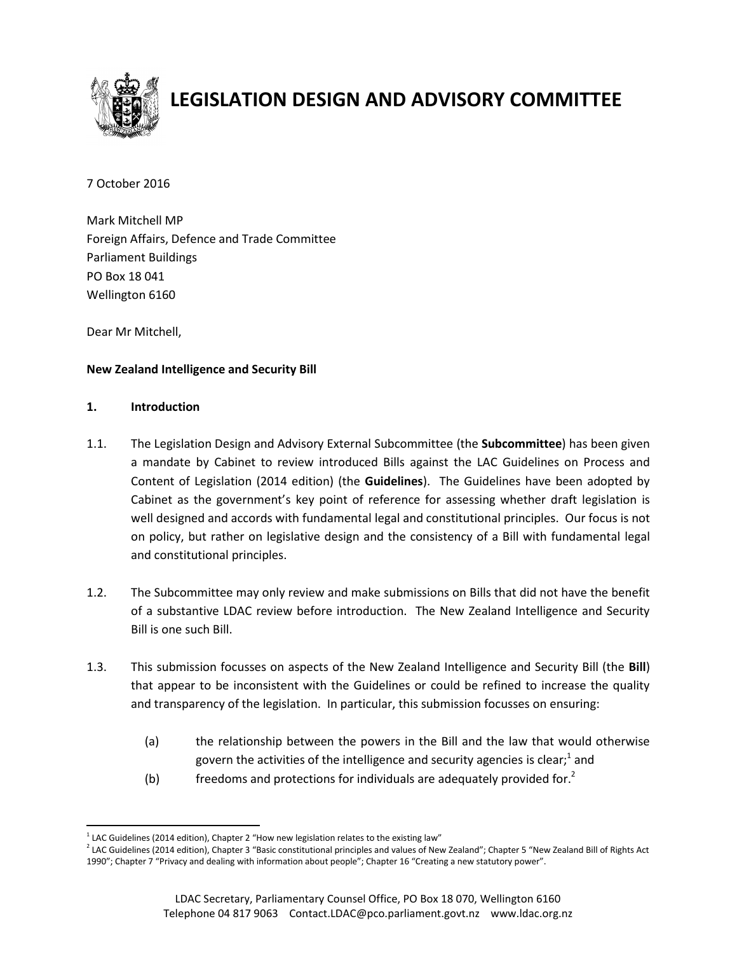

# **LEGISLATION DESIGN AND ADVISORY COMMITTEE**

7 October 2016

Mark Mitchell MP Foreign Affairs, Defence and Trade Committee Parliament Buildings PO Box 18 041 Wellington 6160

Dear Mr Mitchell,

# **New Zealand Intelligence and Security Bill**

# **1. Introduction**

- 1.1. The Legislation Design and Advisory External Subcommittee (the **Subcommittee**) has been given a mandate by Cabinet to review introduced Bills against the LAC Guidelines on Process and Content of Legislation (2014 edition) (the **Guidelines**). The Guidelines have been adopted by Cabinet as the government's key point of reference for assessing whether draft legislation is well designed and accords with fundamental legal and constitutional principles. Our focus is not on policy, but rather on legislative design and the consistency of a Bill with fundamental legal and constitutional principles.
- 1.2. The Subcommittee may only review and make submissions on Bills that did not have the benefit of a substantive LDAC review before introduction. The New Zealand Intelligence and Security Bill is one such Bill.
- 1.3. This submission focusses on aspects of the New Zealand Intelligence and Security Bill (the **Bill**) that appear to be inconsistent with the Guidelines or could be refined to increase the quality and transparency of the legislation. In particular, this submission focusses on ensuring:
	- (a) the relationship between the powers in the Bill and the law that would otherwise govern the activities of the intelligence and security agencies is clear; $^{\rm 1}$  and
	- (b) freedoms and protections for individuals are adequately provided for.<sup>2</sup>

 $\overline{a}$  $^{1}$  LAC Guidelines (2014 edition), Chapter 2 "How new legislation relates to the existing law"

<sup>2</sup> LAC Guidelines (2014 edition), Chapter 3 "Basic constitutional principles and values of New Zealand"; Chapter 5 "New Zealand Bill of Rights Act 1990"; Chapter 7 "Privacy and dealing with information about people"; Chapter 16 "Creating a new statutory power".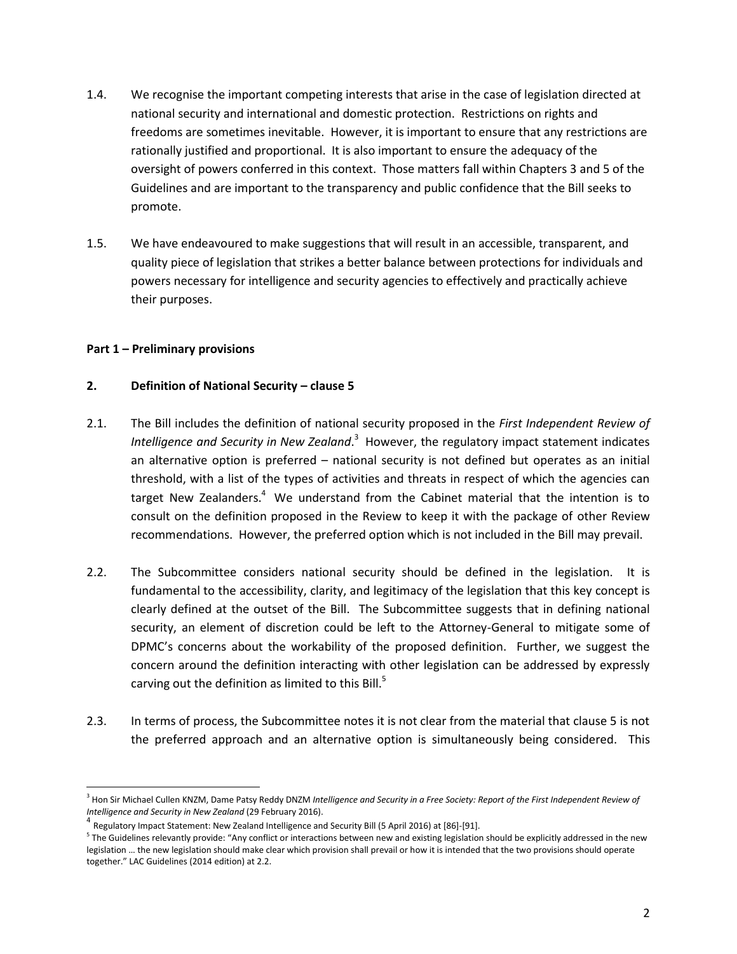- 1.4. We recognise the important competing interests that arise in the case of legislation directed at national security and international and domestic protection. Restrictions on rights and freedoms are sometimes inevitable. However, it is important to ensure that any restrictions are rationally justified and proportional. It is also important to ensure the adequacy of the oversight of powers conferred in this context. Those matters fall within Chapters 3 and 5 of the Guidelines and are important to the transparency and public confidence that the Bill seeks to promote.
- 1.5. We have endeavoured to make suggestions that will result in an accessible, transparent, and quality piece of legislation that strikes a better balance between protections for individuals and powers necessary for intelligence and security agencies to effectively and practically achieve their purposes.

#### **Part 1 – Preliminary provisions**

l

#### **2. Definition of National Security – clause 5**

- 2.1. The Bill includes the definition of national security proposed in the *First Independent Review of*  Intelligence and Security in New Zealand.<sup>3</sup> However, the regulatory impact statement indicates an alternative option is preferred – national security is not defined but operates as an initial threshold, with a list of the types of activities and threats in respect of which the agencies can target New Zealanders.<sup>4</sup> We understand from the Cabinet material that the intention is to consult on the definition proposed in the Review to keep it with the package of other Review recommendations. However, the preferred option which is not included in the Bill may prevail.
- 2.2. The Subcommittee considers national security should be defined in the legislation. It is fundamental to the accessibility, clarity, and legitimacy of the legislation that this key concept is clearly defined at the outset of the Bill. The Subcommittee suggests that in defining national security, an element of discretion could be left to the Attorney-General to mitigate some of DPMC's concerns about the workability of the proposed definition. Further, we suggest the concern around the definition interacting with other legislation can be addressed by expressly carving out the definition as limited to this Bill. $5$
- 2.3. In terms of process, the Subcommittee notes it is not clear from the material that clause 5 is not the preferred approach and an alternative option is simultaneously being considered. This

<sup>&</sup>lt;sup>3</sup> Hon Sir Michael Cullen KNZM, Dame Patsy Reddy DNZM *Intelligence and Security in a Free Society: Report of the First Independent Review of Intelligence and Security in New Zealand* (29 February 2016).

<sup>&</sup>lt;sup>4</sup> Regulatory Impact Statement: New Zealand Intelligence and Security Bill (5 April 2016) at [86]-[91].

 $^5$  The Guidelines relevantly provide: "Any conflict or interactions between new and existing legislation should be explicitly addressed in the new legislation … the new legislation should make clear which provision shall prevail or how it is intended that the two provisions should operate together." LAC Guidelines (2014 edition) at 2.2.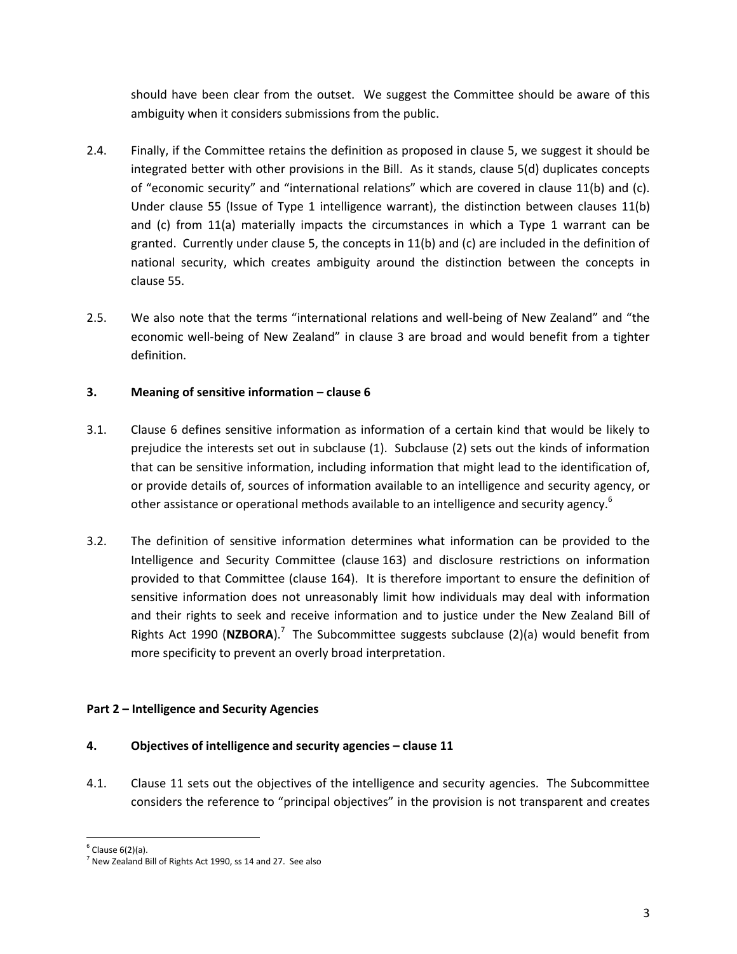should have been clear from the outset. We suggest the Committee should be aware of this ambiguity when it considers submissions from the public.

- 2.4. Finally, if the Committee retains the definition as proposed in clause 5, we suggest it should be integrated better with other provisions in the Bill. As it stands, clause 5(d) duplicates concepts of "economic security" and "international relations" which are covered in clause 11(b) and (c). Under clause 55 (Issue of Type 1 intelligence warrant), the distinction between clauses 11(b) and (c) from 11(a) materially impacts the circumstances in which a Type 1 warrant can be granted. Currently under clause 5, the concepts in 11(b) and (c) are included in the definition of national security, which creates ambiguity around the distinction between the concepts in clause 55.
- 2.5. We also note that the terms "international relations and well-being of New Zealand" and "the economic well-being of New Zealand" in clause 3 are broad and would benefit from a tighter definition.

# **3. Meaning of sensitive information – clause 6**

- 3.1. Clause 6 defines sensitive information as information of a certain kind that would be likely to prejudice the interests set out in subclause (1). Subclause (2) sets out the kinds of information that can be sensitive information, including information that might lead to the identification of, or provide details of, sources of information available to an intelligence and security agency, or other assistance or operational methods available to an intelligence and security agency.<sup>6</sup>
- 3.2. The definition of sensitive information determines what information can be provided to the Intelligence and Security Committee (clause 163) and disclosure restrictions on information provided to that Committee (clause 164). It is therefore important to ensure the definition of sensitive information does not unreasonably limit how individuals may deal with information and their rights to seek and receive information and to justice under the New Zealand Bill of Rights Act 1990 (NZBORA).<sup>7</sup> The Subcommittee suggests subclause (2)(a) would benefit from more specificity to prevent an overly broad interpretation.

# **Part 2 – Intelligence and Security Agencies**

# **4. Objectives of intelligence and security agencies – clause 11**

4.1. Clause 11 sets out the objectives of the intelligence and security agencies. The Subcommittee considers the reference to "principal objectives" in the provision is not transparent and creates

 $\overline{a}$ <sup>6</sup> Clause 6(2)(a).

 $^7$  New Zealand Bill of Rights Act 1990, ss 14 and 27. See also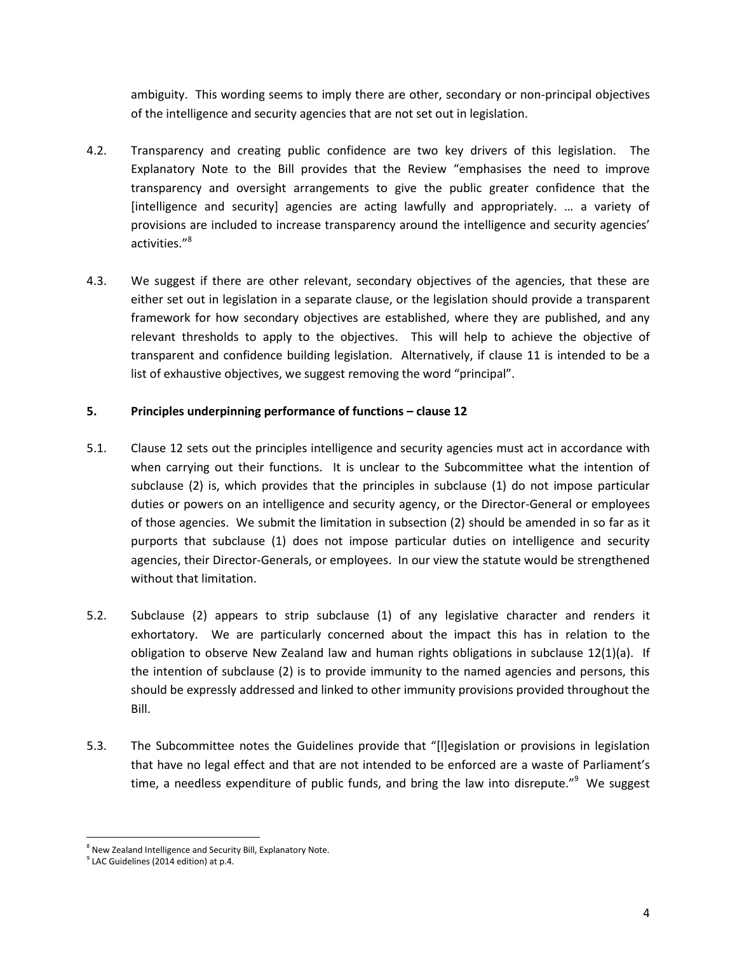ambiguity. This wording seems to imply there are other, secondary or non-principal objectives of the intelligence and security agencies that are not set out in legislation.

- 4.2. Transparency and creating public confidence are two key drivers of this legislation. The Explanatory Note to the Bill provides that the Review "emphasises the need to improve transparency and oversight arrangements to give the public greater confidence that the [intelligence and security] agencies are acting lawfully and appropriately. … a variety of provisions are included to increase transparency around the intelligence and security agencies' activities."<sup>8</sup>
- 4.3. We suggest if there are other relevant, secondary objectives of the agencies, that these are either set out in legislation in a separate clause, or the legislation should provide a transparent framework for how secondary objectives are established, where they are published, and any relevant thresholds to apply to the objectives. This will help to achieve the objective of transparent and confidence building legislation. Alternatively, if clause 11 is intended to be a list of exhaustive objectives, we suggest removing the word "principal".

# **5. Principles underpinning performance of functions – clause 12**

- 5.1. Clause 12 sets out the principles intelligence and security agencies must act in accordance with when carrying out their functions. It is unclear to the Subcommittee what the intention of subclause (2) is, which provides that the principles in subclause (1) do not impose particular duties or powers on an intelligence and security agency, or the Director-General or employees of those agencies. We submit the limitation in subsection (2) should be amended in so far as it purports that subclause (1) does not impose particular duties on intelligence and security agencies, their Director-Generals, or employees. In our view the statute would be strengthened without that limitation.
- 5.2. Subclause (2) appears to strip subclause (1) of any legislative character and renders it exhortatory. We are particularly concerned about the impact this has in relation to the obligation to observe New Zealand law and human rights obligations in subclause 12(1)(a). If the intention of subclause (2) is to provide immunity to the named agencies and persons, this should be expressly addressed and linked to other immunity provisions provided throughout the Bill.
- 5.3. The Subcommittee notes the Guidelines provide that "[l]egislation or provisions in legislation that have no legal effect and that are not intended to be enforced are a waste of Parliament's time, a needless expenditure of public funds, and bring the law into disrepute."<sup>9</sup> We suggest

 $\overline{a}$ <sup>8</sup> New Zealand Intelligence and Security Bill, Explanatory Note.

 $9$  LAC Guidelines (2014 edition) at p.4.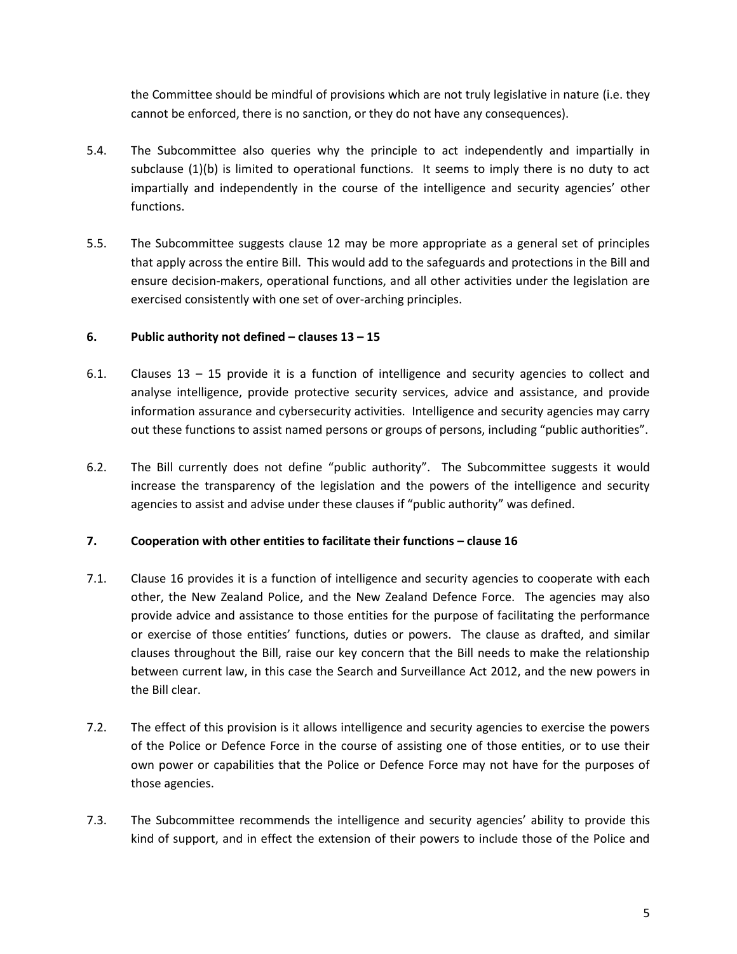the Committee should be mindful of provisions which are not truly legislative in nature (i.e. they cannot be enforced, there is no sanction, or they do not have any consequences).

- 5.4. The Subcommittee also queries why the principle to act independently and impartially in subclause (1)(b) is limited to operational functions. It seems to imply there is no duty to act impartially and independently in the course of the intelligence and security agencies' other functions.
- 5.5. The Subcommittee suggests clause 12 may be more appropriate as a general set of principles that apply across the entire Bill. This would add to the safeguards and protections in the Bill and ensure decision-makers, operational functions, and all other activities under the legislation are exercised consistently with one set of over-arching principles.

#### **6. Public authority not defined – clauses 13 – 15**

- 6.1. Clauses 13 15 provide it is a function of intelligence and security agencies to collect and analyse intelligence, provide protective security services, advice and assistance, and provide information assurance and cybersecurity activities. Intelligence and security agencies may carry out these functions to assist named persons or groups of persons, including "public authorities".
- 6.2. The Bill currently does not define "public authority". The Subcommittee suggests it would increase the transparency of the legislation and the powers of the intelligence and security agencies to assist and advise under these clauses if "public authority" was defined.

#### **7. Cooperation with other entities to facilitate their functions – clause 16**

- 7.1. Clause 16 provides it is a function of intelligence and security agencies to cooperate with each other, the New Zealand Police, and the New Zealand Defence Force. The agencies may also provide advice and assistance to those entities for the purpose of facilitating the performance or exercise of those entities' functions, duties or powers. The clause as drafted, and similar clauses throughout the Bill, raise our key concern that the Bill needs to make the relationship between current law, in this case the Search and Surveillance Act 2012, and the new powers in the Bill clear.
- 7.2. The effect of this provision is it allows intelligence and security agencies to exercise the powers of the Police or Defence Force in the course of assisting one of those entities, or to use their own power or capabilities that the Police or Defence Force may not have for the purposes of those agencies.
- 7.3. The Subcommittee recommends the intelligence and security agencies' ability to provide this kind of support, and in effect the extension of their powers to include those of the Police and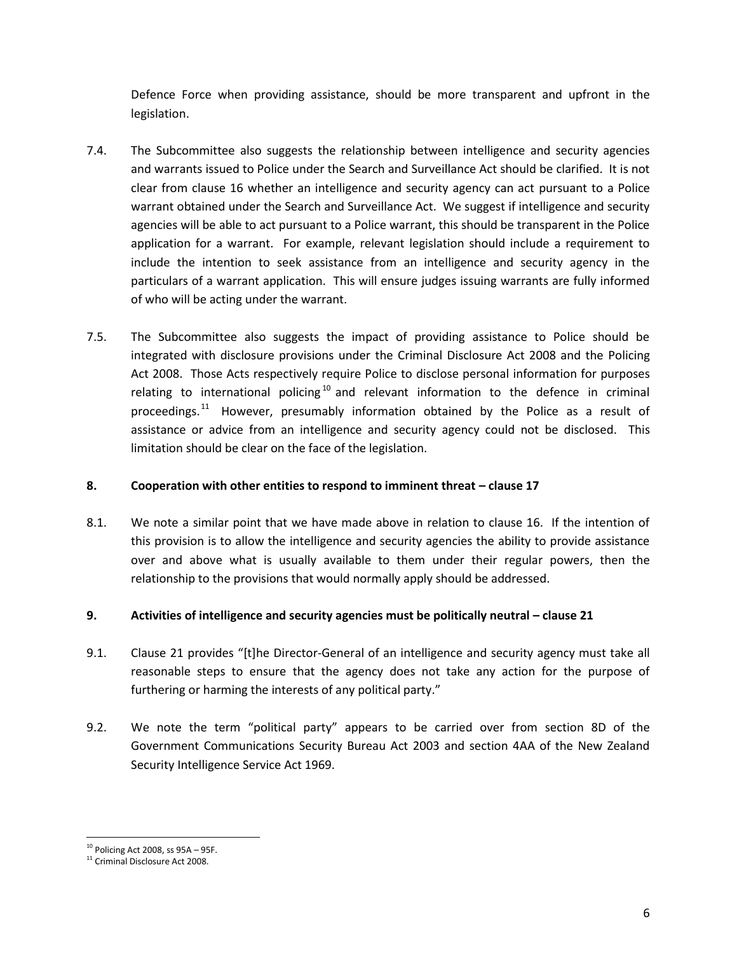Defence Force when providing assistance, should be more transparent and upfront in the legislation.

- 7.4. The Subcommittee also suggests the relationship between intelligence and security agencies and warrants issued to Police under the Search and Surveillance Act should be clarified. It is not clear from clause 16 whether an intelligence and security agency can act pursuant to a Police warrant obtained under the Search and Surveillance Act. We suggest if intelligence and security agencies will be able to act pursuant to a Police warrant, this should be transparent in the Police application for a warrant. For example, relevant legislation should include a requirement to include the intention to seek assistance from an intelligence and security agency in the particulars of a warrant application. This will ensure judges issuing warrants are fully informed of who will be acting under the warrant.
- 7.5. The Subcommittee also suggests the impact of providing assistance to Police should be integrated with disclosure provisions under the Criminal Disclosure Act 2008 and the Policing Act 2008. Those Acts respectively require Police to disclose personal information for purposes relating to international policing<sup>10</sup> and relevant information to the defence in criminal proceedings.<sup>11</sup> However, presumably information obtained by the Police as a result of assistance or advice from an intelligence and security agency could not be disclosed. This limitation should be clear on the face of the legislation.

# **8. Cooperation with other entities to respond to imminent threat – clause 17**

8.1. We note a similar point that we have made above in relation to clause 16. If the intention of this provision is to allow the intelligence and security agencies the ability to provide assistance over and above what is usually available to them under their regular powers, then the relationship to the provisions that would normally apply should be addressed.

# **9. Activities of intelligence and security agencies must be politically neutral – clause 21**

- 9.1. Clause 21 provides "[t]he Director-General of an intelligence and security agency must take all reasonable steps to ensure that the agency does not take any action for the purpose of furthering or harming the interests of any political party."
- 9.2. We note the term "political party" appears to be carried over from section 8D of the Government Communications Security Bureau Act 2003 and section 4AA of the New Zealand Security Intelligence Service Act 1969.

 $\overline{a}$  $^{10}$  Policing Act 2008, ss 95A – 95F.

<sup>&</sup>lt;sup>11</sup> Criminal Disclosure Act 2008.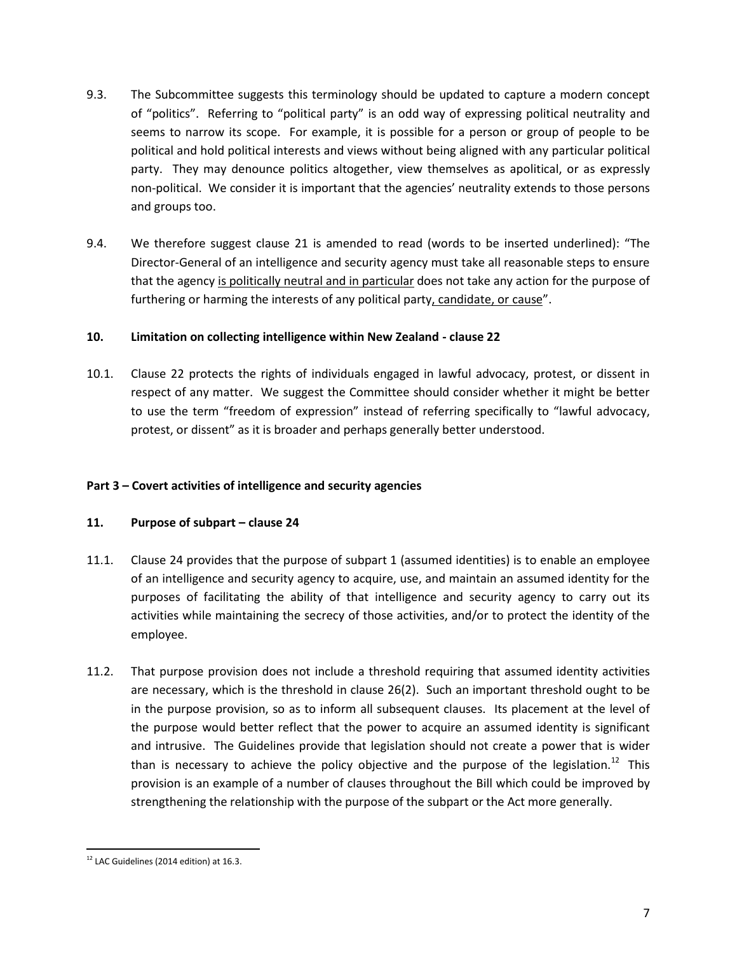- 9.3. The Subcommittee suggests this terminology should be updated to capture a modern concept of "politics". Referring to "political party" is an odd way of expressing political neutrality and seems to narrow its scope. For example, it is possible for a person or group of people to be political and hold political interests and views without being aligned with any particular political party. They may denounce politics altogether, view themselves as apolitical, or as expressly non-political. We consider it is important that the agencies' neutrality extends to those persons and groups too.
- 9.4. We therefore suggest clause 21 is amended to read (words to be inserted underlined): "The Director-General of an intelligence and security agency must take all reasonable steps to ensure that the agency is politically neutral and in particular does not take any action for the purpose of furthering or harming the interests of any political party, candidate, or cause".

#### **10. Limitation on collecting intelligence within New Zealand - clause 22**

10.1. Clause 22 protects the rights of individuals engaged in lawful advocacy, protest, or dissent in respect of any matter. We suggest the Committee should consider whether it might be better to use the term "freedom of expression" instead of referring specifically to "lawful advocacy, protest, or dissent" as it is broader and perhaps generally better understood.

#### **Part 3 – Covert activities of intelligence and security agencies**

#### **11. Purpose of subpart – clause 24**

- 11.1. Clause 24 provides that the purpose of subpart 1 (assumed identities) is to enable an employee of an intelligence and security agency to acquire, use, and maintain an assumed identity for the purposes of facilitating the ability of that intelligence and security agency to carry out its activities while maintaining the secrecy of those activities, and/or to protect the identity of the employee.
- 11.2. That purpose provision does not include a threshold requiring that assumed identity activities are necessary, which is the threshold in clause 26(2). Such an important threshold ought to be in the purpose provision, so as to inform all subsequent clauses. Its placement at the level of the purpose would better reflect that the power to acquire an assumed identity is significant and intrusive. The Guidelines provide that legislation should not create a power that is wider than is necessary to achieve the policy objective and the purpose of the legislation.<sup>12</sup> This provision is an example of a number of clauses throughout the Bill which could be improved by strengthening the relationship with the purpose of the subpart or the Act more generally.

l  $12$  LAC Guidelines (2014 edition) at 16.3.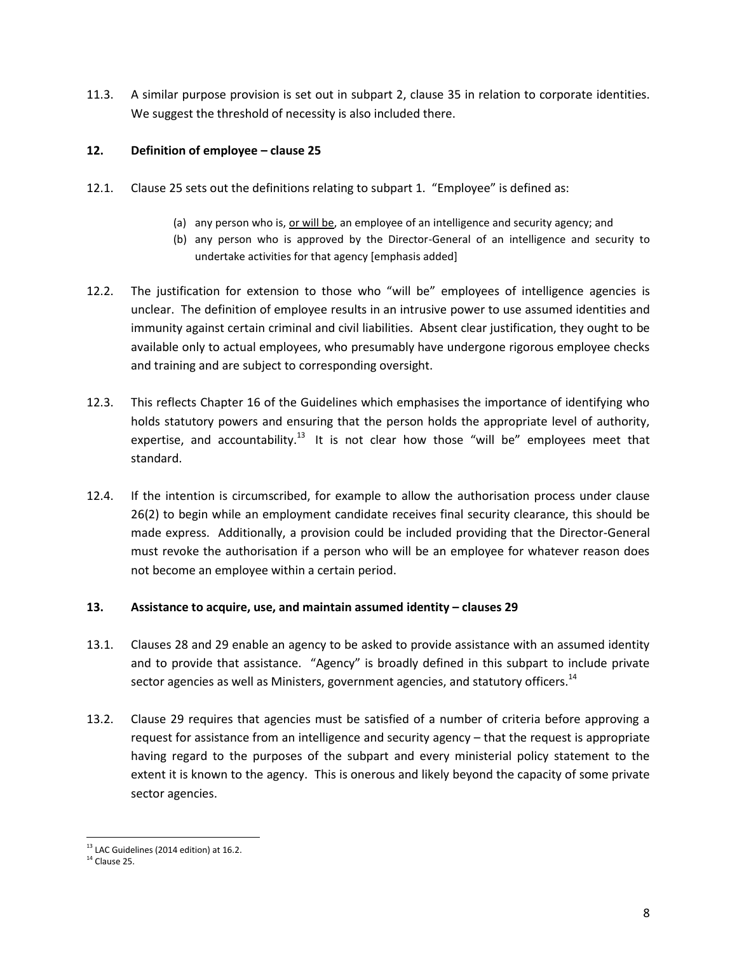11.3. A similar purpose provision is set out in subpart 2, clause 35 in relation to corporate identities. We suggest the threshold of necessity is also included there.

#### **12. Definition of employee – clause 25**

- 12.1. Clause 25 sets out the definitions relating to subpart 1. "Employee" is defined as:
	- (a) any person who is, or will be, an employee of an intelligence and security agency; and
	- (b) any person who is approved by the Director-General of an intelligence and security to undertake activities for that agency [emphasis added]
- 12.2. The justification for extension to those who "will be" employees of intelligence agencies is unclear. The definition of employee results in an intrusive power to use assumed identities and immunity against certain criminal and civil liabilities. Absent clear justification, they ought to be available only to actual employees, who presumably have undergone rigorous employee checks and training and are subject to corresponding oversight.
- 12.3. This reflects Chapter 16 of the Guidelines which emphasises the importance of identifying who holds statutory powers and ensuring that the person holds the appropriate level of authority, expertise, and accountability.<sup>13</sup> It is not clear how those "will be" employees meet that standard.
- 12.4. If the intention is circumscribed, for example to allow the authorisation process under clause 26(2) to begin while an employment candidate receives final security clearance, this should be made express. Additionally, a provision could be included providing that the Director-General must revoke the authorisation if a person who will be an employee for whatever reason does not become an employee within a certain period.

#### **13. Assistance to acquire, use, and maintain assumed identity – clauses 29**

- 13.1. Clauses 28 and 29 enable an agency to be asked to provide assistance with an assumed identity and to provide that assistance. "Agency" is broadly defined in this subpart to include private sector agencies as well as Ministers, government agencies, and statutory officers.<sup>14</sup>
- 13.2. Clause 29 requires that agencies must be satisfied of a number of criteria before approving a request for assistance from an intelligence and security agency – that the request is appropriate having regard to the purposes of the subpart and every ministerial policy statement to the extent it is known to the agency. This is onerous and likely beyond the capacity of some private sector agencies.

 $\overline{a}$  $^{13}$  LAC Guidelines (2014 edition) at 16.2.

 $14$  Clause 25.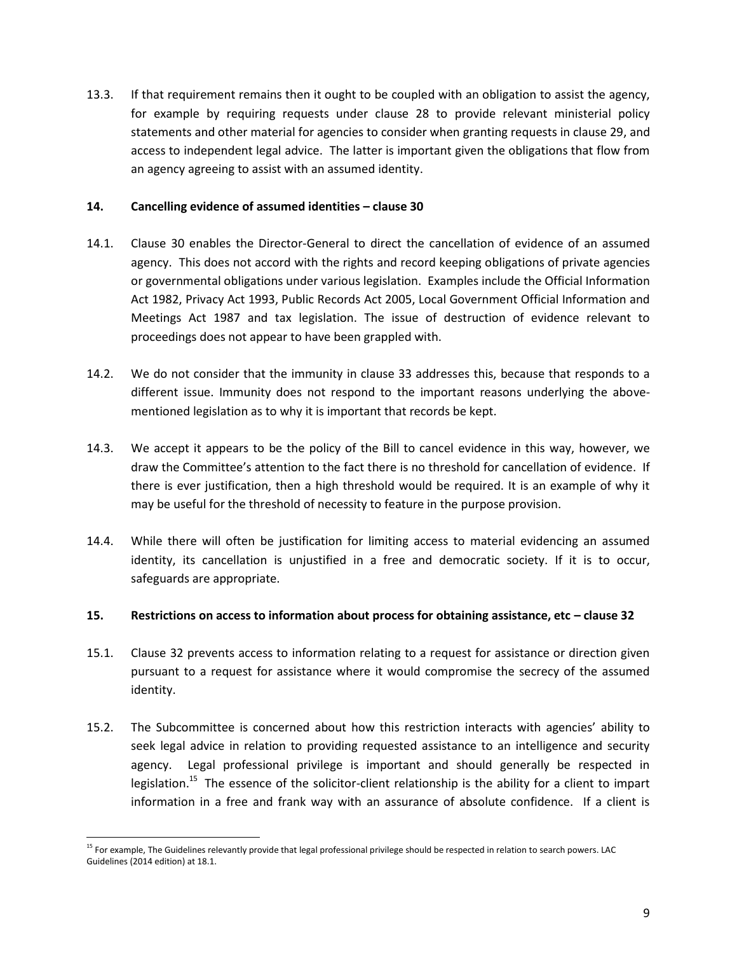13.3. If that requirement remains then it ought to be coupled with an obligation to assist the agency, for example by requiring requests under clause 28 to provide relevant ministerial policy statements and other material for agencies to consider when granting requests in clause 29, and access to independent legal advice. The latter is important given the obligations that flow from an agency agreeing to assist with an assumed identity.

#### **14. Cancelling evidence of assumed identities – clause 30**

- 14.1. Clause 30 enables the Director-General to direct the cancellation of evidence of an assumed agency. This does not accord with the rights and record keeping obligations of private agencies or governmental obligations under various legislation. Examples include the Official Information Act 1982, Privacy Act 1993, Public Records Act 2005, Local Government Official Information and Meetings Act 1987 and tax legislation. The issue of destruction of evidence relevant to proceedings does not appear to have been grappled with.
- 14.2. We do not consider that the immunity in clause 33 addresses this, because that responds to a different issue. Immunity does not respond to the important reasons underlying the abovementioned legislation as to why it is important that records be kept.
- 14.3. We accept it appears to be the policy of the Bill to cancel evidence in this way, however, we draw the Committee's attention to the fact there is no threshold for cancellation of evidence. If there is ever justification, then a high threshold would be required. It is an example of why it may be useful for the threshold of necessity to feature in the purpose provision.
- 14.4. While there will often be justification for limiting access to material evidencing an assumed identity, its cancellation is unjustified in a free and democratic society. If it is to occur, safeguards are appropriate.

#### 15. **Restrictions on access to information about process for obtaining assistance, etc – clause 32**

- 15.1. Clause 32 prevents access to information relating to a request for assistance or direction given pursuant to a request for assistance where it would compromise the secrecy of the assumed identity.
- 15.2. The Subcommittee is concerned about how this restriction interacts with agencies' ability to seek legal advice in relation to providing requested assistance to an intelligence and security agency. Legal professional privilege is important and should generally be respected in legislation.<sup>15</sup> The essence of the solicitor-client relationship is the ability for a client to impart information in a free and frank way with an assurance of absolute confidence. If a client is

 $\overline{a}$ <sup>15</sup> For example, The Guidelines relevantly provide that legal professional privilege should be respected in relation to search powers. LAC Guidelines (2014 edition) at 18.1.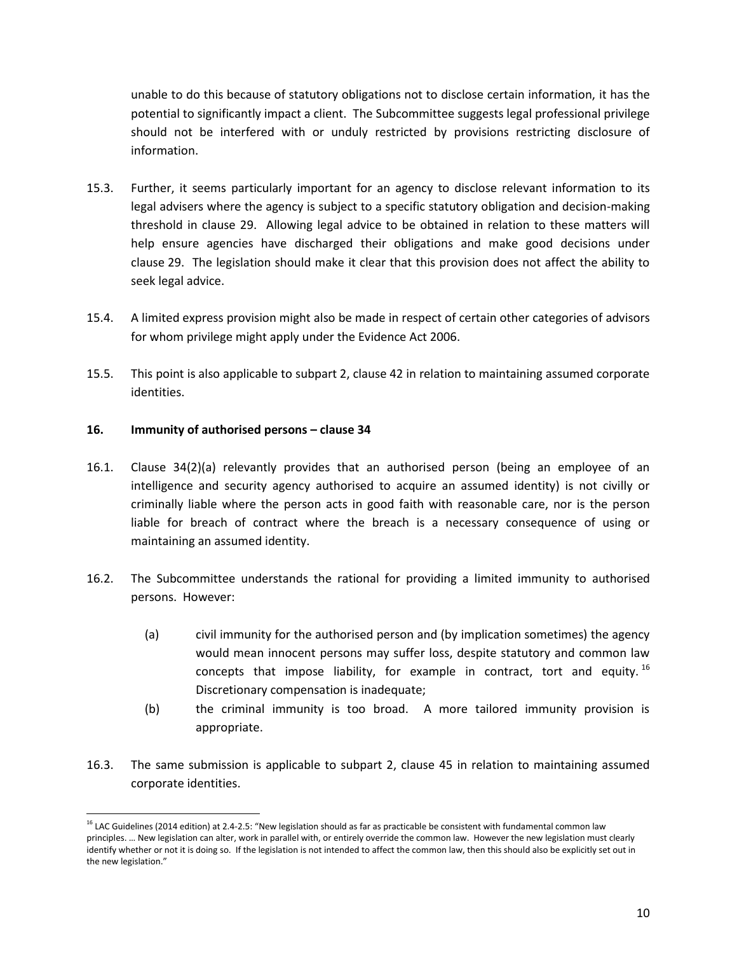unable to do this because of statutory obligations not to disclose certain information, it has the potential to significantly impact a client. The Subcommittee suggests legal professional privilege should not be interfered with or unduly restricted by provisions restricting disclosure of information.

- 15.3. Further, it seems particularly important for an agency to disclose relevant information to its legal advisers where the agency is subject to a specific statutory obligation and decision-making threshold in clause 29. Allowing legal advice to be obtained in relation to these matters will help ensure agencies have discharged their obligations and make good decisions under clause 29. The legislation should make it clear that this provision does not affect the ability to seek legal advice.
- 15.4. A limited express provision might also be made in respect of certain other categories of advisors for whom privilege might apply under the Evidence Act 2006.
- 15.5. This point is also applicable to subpart 2, clause 42 in relation to maintaining assumed corporate identities.

#### **16. Immunity of authorised persons – clause 34**

l

- 16.1. Clause 34(2)(a) relevantly provides that an authorised person (being an employee of an intelligence and security agency authorised to acquire an assumed identity) is not civilly or criminally liable where the person acts in good faith with reasonable care, nor is the person liable for breach of contract where the breach is a necessary consequence of using or maintaining an assumed identity.
- 16.2. The Subcommittee understands the rational for providing a limited immunity to authorised persons. However:
	- (a) civil immunity for the authorised person and (by implication sometimes) the agency would mean innocent persons may suffer loss, despite statutory and common law concepts that impose liability, for example in contract, tort and equity. <sup>16</sup> Discretionary compensation is inadequate;
	- (b) the criminal immunity is too broad. A more tailored immunity provision is appropriate.
- 16.3. The same submission is applicable to subpart 2, clause 45 in relation to maintaining assumed corporate identities.

<sup>&</sup>lt;sup>16</sup> LAC Guidelines (2014 edition) at 2.4-2.5: "New legislation should as far as practicable be consistent with fundamental common law principles. … New legislation can alter, work in parallel with, or entirely override the common law. However the new legislation must clearly identify whether or not it is doing so. If the legislation is not intended to affect the common law, then this should also be explicitly set out in the new legislation."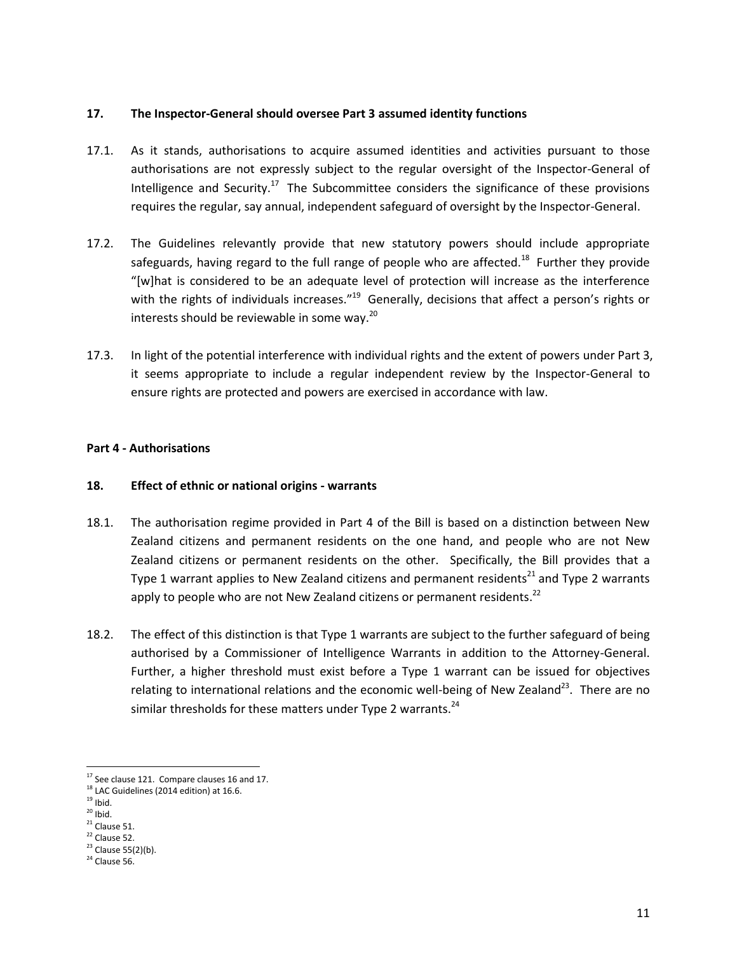#### **17. The Inspector-General should oversee Part 3 assumed identity functions**

- 17.1. As it stands, authorisations to acquire assumed identities and activities pursuant to those authorisations are not expressly subject to the regular oversight of the Inspector-General of Intelligence and Security.<sup>17</sup> The Subcommittee considers the significance of these provisions requires the regular, say annual, independent safeguard of oversight by the Inspector-General.
- 17.2. The Guidelines relevantly provide that new statutory powers should include appropriate safeguards, having regard to the full range of people who are affected.<sup>18</sup> Further they provide "[w]hat is considered to be an adequate level of protection will increase as the interference with the rights of individuals increases."<sup>19</sup> Generally, decisions that affect a person's rights or interests should be reviewable in some way.<sup>20</sup>
- 17.3. In light of the potential interference with individual rights and the extent of powers under Part 3, it seems appropriate to include a regular independent review by the Inspector-General to ensure rights are protected and powers are exercised in accordance with law.

# **Part 4 - Authorisations**

# **18. Effect of ethnic or national origins - warrants**

- 18.1. The authorisation regime provided in Part 4 of the Bill is based on a distinction between New Zealand citizens and permanent residents on the one hand, and people who are not New Zealand citizens or permanent residents on the other. Specifically, the Bill provides that a Type 1 warrant applies to New Zealand citizens and permanent residents<sup>21</sup> and Type 2 warrants apply to people who are not New Zealand citizens or permanent residents.<sup>22</sup>
- 18.2. The effect of this distinction is that Type 1 warrants are subject to the further safeguard of being authorised by a Commissioner of Intelligence Warrants in addition to the Attorney-General. Further, a higher threshold must exist before a Type 1 warrant can be issued for objectives relating to international relations and the economic well-being of New Zealand<sup>23</sup>. There are no similar thresholds for these matters under Type 2 warrants.<sup>24</sup>

 $\overline{\phantom{a}}$ 

 $17$  See clause 121. Compare clauses 16 and 17.

<sup>&</sup>lt;sup>18</sup> LAC Guidelines (2014 edition) at 16.6.

 $19$  Ibid.

 $20$  Ibid.

 $21$  Clause 51.

 $22$  Clause 52.

 $23$  Clause 55(2)(b).

 $24$  Clause 56.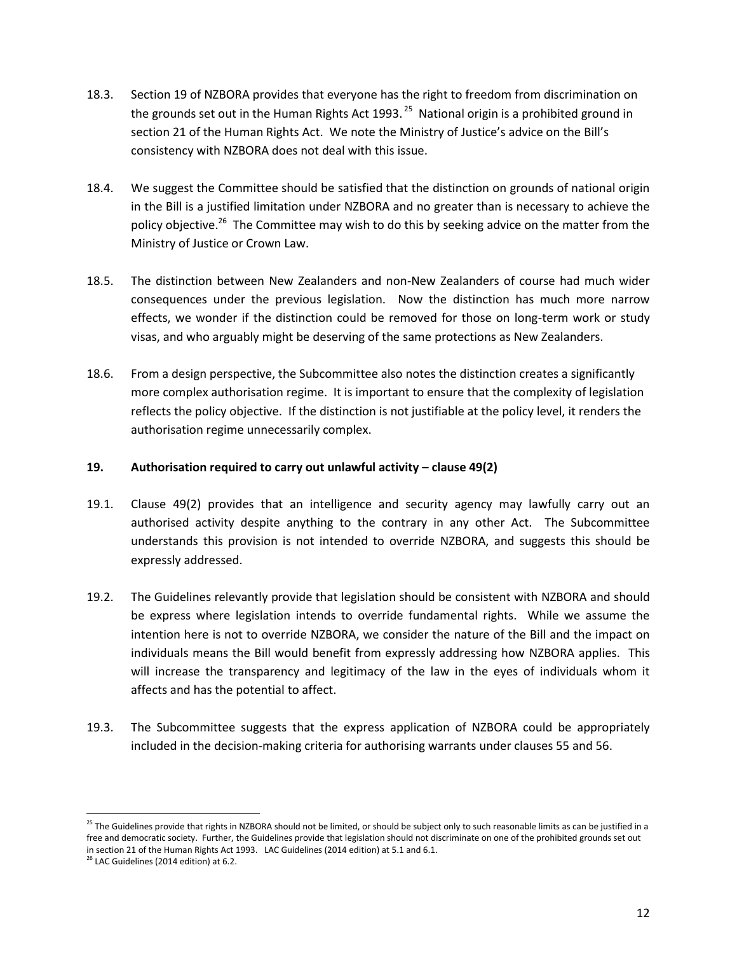- 18.3. Section 19 of NZBORA provides that everyone has the right to freedom from discrimination on the grounds set out in the Human Rights Act 1993.<sup>25</sup> National origin is a prohibited ground in section 21 of the Human Rights Act. We note the Ministry of Justice's advice on the Bill's consistency with NZBORA does not deal with this issue.
- 18.4. We suggest the Committee should be satisfied that the distinction on grounds of national origin in the Bill is a justified limitation under NZBORA and no greater than is necessary to achieve the policy objective.<sup>26</sup> The Committee may wish to do this by seeking advice on the matter from the Ministry of Justice or Crown Law.
- 18.5. The distinction between New Zealanders and non-New Zealanders of course had much wider consequences under the previous legislation. Now the distinction has much more narrow effects, we wonder if the distinction could be removed for those on long-term work or study visas, and who arguably might be deserving of the same protections as New Zealanders.
- 18.6. From a design perspective, the Subcommittee also notes the distinction creates a significantly more complex authorisation regime. It is important to ensure that the complexity of legislation reflects the policy objective. If the distinction is not justifiable at the policy level, it renders the authorisation regime unnecessarily complex.

#### **19. Authorisation required to carry out unlawful activity – clause 49(2)**

- 19.1. Clause 49(2) provides that an intelligence and security agency may lawfully carry out an authorised activity despite anything to the contrary in any other Act. The Subcommittee understands this provision is not intended to override NZBORA, and suggests this should be expressly addressed.
- 19.2. The Guidelines relevantly provide that legislation should be consistent with NZBORA and should be express where legislation intends to override fundamental rights. While we assume the intention here is not to override NZBORA, we consider the nature of the Bill and the impact on individuals means the Bill would benefit from expressly addressing how NZBORA applies. This will increase the transparency and legitimacy of the law in the eyes of individuals whom it affects and has the potential to affect.
- 19.3. The Subcommittee suggests that the express application of NZBORA could be appropriately included in the decision-making criteria for authorising warrants under clauses 55 and 56.

l

 $^{25}$  The Guidelines provide that rights in NZBORA should not be limited, or should be subject only to such reasonable limits as can be justified in a free and democratic society. Further, the Guidelines provide that legislation should not discriminate on one of the prohibited grounds set out in section 21 of the Human Rights Act 1993. LAC Guidelines (2014 edition) at 5.1 and 6.1.

 $26$  LAC Guidelines (2014 edition) at 6.2.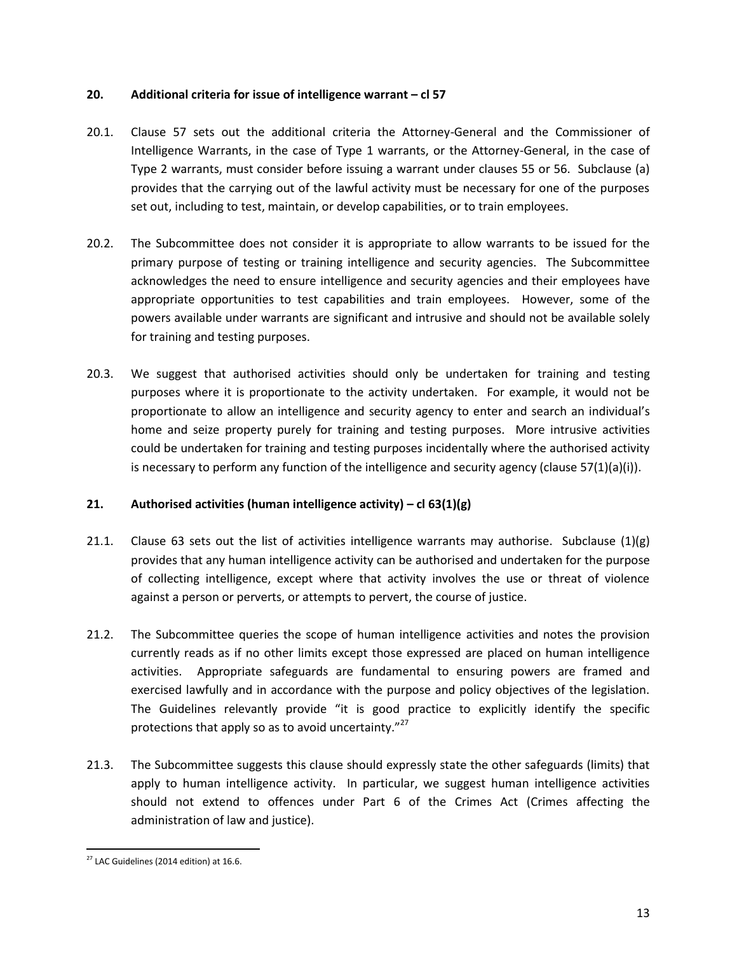#### **20. Additional criteria for issue of intelligence warrant – cl 57**

- 20.1. Clause 57 sets out the additional criteria the Attorney-General and the Commissioner of Intelligence Warrants, in the case of Type 1 warrants, or the Attorney-General, in the case of Type 2 warrants, must consider before issuing a warrant under clauses 55 or 56. Subclause (a) provides that the carrying out of the lawful activity must be necessary for one of the purposes set out, including to test, maintain, or develop capabilities, or to train employees.
- 20.2. The Subcommittee does not consider it is appropriate to allow warrants to be issued for the primary purpose of testing or training intelligence and security agencies. The Subcommittee acknowledges the need to ensure intelligence and security agencies and their employees have appropriate opportunities to test capabilities and train employees. However, some of the powers available under warrants are significant and intrusive and should not be available solely for training and testing purposes.
- 20.3. We suggest that authorised activities should only be undertaken for training and testing purposes where it is proportionate to the activity undertaken. For example, it would not be proportionate to allow an intelligence and security agency to enter and search an individual's home and seize property purely for training and testing purposes. More intrusive activities could be undertaken for training and testing purposes incidentally where the authorised activity is necessary to perform any function of the intelligence and security agency (clause  $57(1)(a)(i)$ ).

# **21. Authorised activities (human intelligence activity) – cl 63(1)(g)**

- 21.1. Clause 63 sets out the list of activities intelligence warrants may authorise. Subclause  $(1)(g)$ provides that any human intelligence activity can be authorised and undertaken for the purpose of collecting intelligence, except where that activity involves the use or threat of violence against a person or perverts, or attempts to pervert, the course of justice.
- 21.2. The Subcommittee queries the scope of human intelligence activities and notes the provision currently reads as if no other limits except those expressed are placed on human intelligence activities. Appropriate safeguards are fundamental to ensuring powers are framed and exercised lawfully and in accordance with the purpose and policy objectives of the legislation. The Guidelines relevantly provide "it is good practice to explicitly identify the specific protections that apply so as to avoid uncertainty." $^{27}$
- 21.3. The Subcommittee suggests this clause should expressly state the other safeguards (limits) that apply to human intelligence activity. In particular, we suggest human intelligence activities should not extend to offences under Part 6 of the Crimes Act (Crimes affecting the administration of law and justice).

l  $27$  LAC Guidelines (2014 edition) at 16.6.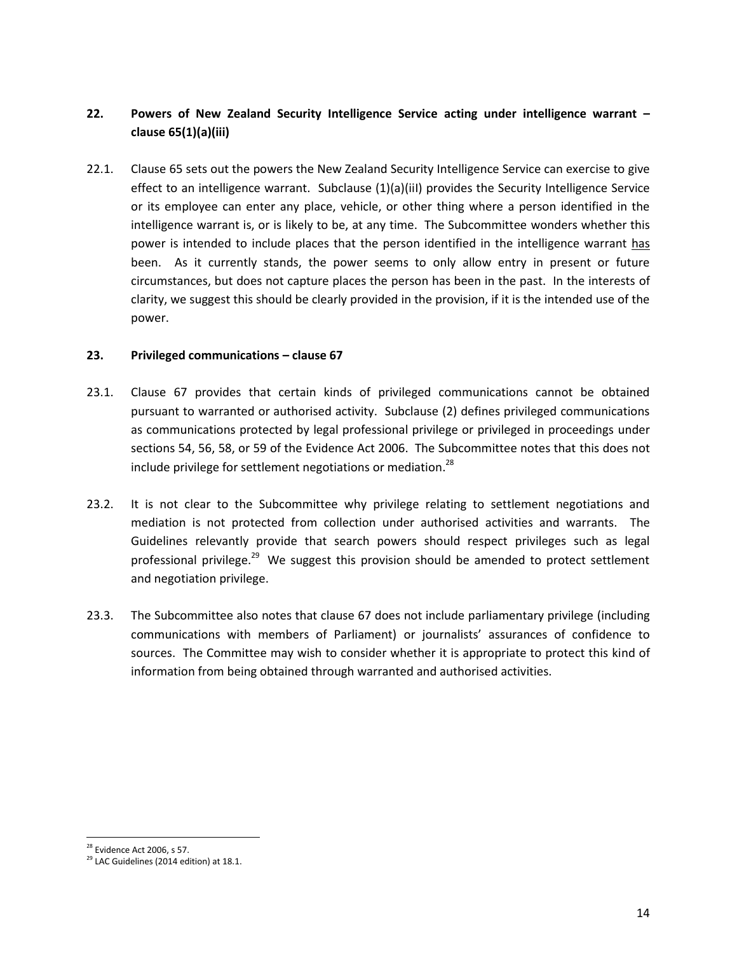# **22. Powers of New Zealand Security Intelligence Service acting under intelligence warrant – clause 65(1)(a)(iii)**

22.1. Clause 65 sets out the powers the New Zealand Security Intelligence Service can exercise to give effect to an intelligence warrant. Subclause (1)(a)(iiI) provides the Security Intelligence Service or its employee can enter any place, vehicle, or other thing where a person identified in the intelligence warrant is, or is likely to be, at any time. The Subcommittee wonders whether this power is intended to include places that the person identified in the intelligence warrant has been. As it currently stands, the power seems to only allow entry in present or future circumstances, but does not capture places the person has been in the past. In the interests of clarity, we suggest this should be clearly provided in the provision, if it is the intended use of the power.

#### **23. Privileged communications – clause 67**

- 23.1. Clause 67 provides that certain kinds of privileged communications cannot be obtained pursuant to warranted or authorised activity. Subclause (2) defines privileged communications as communications protected by legal professional privilege or privileged in proceedings under sections 54, 56, 58, or 59 of the Evidence Act 2006. The Subcommittee notes that this does not include privilege for settlement negotiations or mediation.<sup>28</sup>
- 23.2. It is not clear to the Subcommittee why privilege relating to settlement negotiations and mediation is not protected from collection under authorised activities and warrants. The Guidelines relevantly provide that search powers should respect privileges such as legal professional privilege.<sup>29</sup> We suggest this provision should be amended to protect settlement and negotiation privilege.
- 23.3. The Subcommittee also notes that clause 67 does not include parliamentary privilege (including communications with members of Parliament) or journalists' assurances of confidence to sources. The Committee may wish to consider whether it is appropriate to protect this kind of information from being obtained through warranted and authorised activities.

 $\overline{a}$  $^{28}$  Evidence Act 2006, s 57.

<sup>&</sup>lt;sup>29</sup> LAC Guidelines (2014 edition) at 18.1.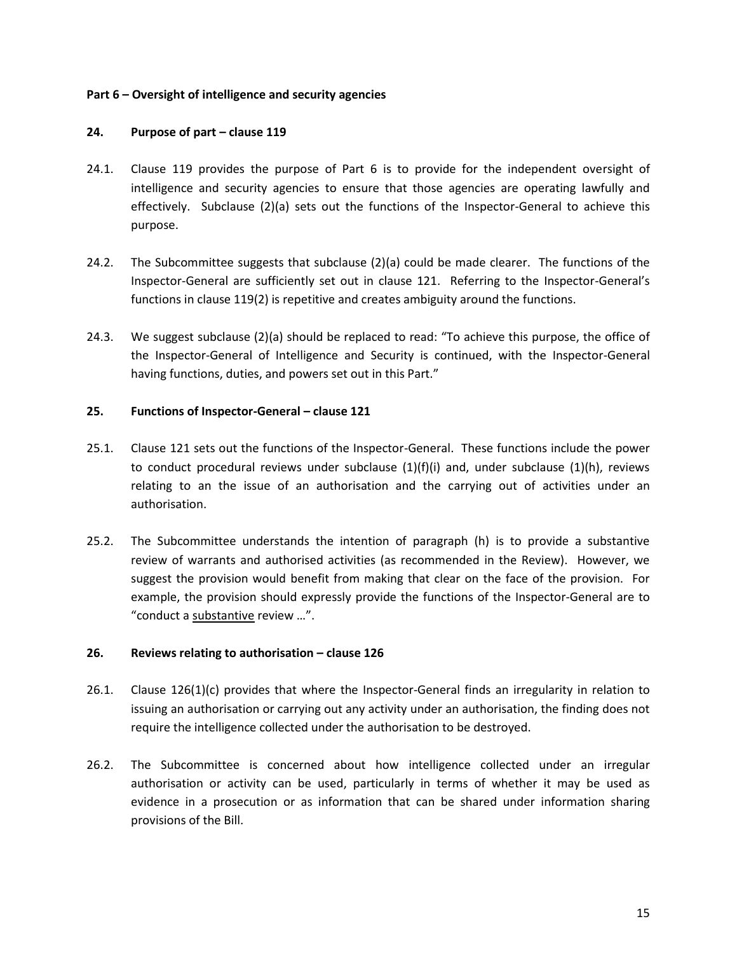#### **Part 6 – Oversight of intelligence and security agencies**

#### **24. Purpose of part – clause 119**

- 24.1. Clause 119 provides the purpose of Part 6 is to provide for the independent oversight of intelligence and security agencies to ensure that those agencies are operating lawfully and effectively. Subclause (2)(a) sets out the functions of the Inspector-General to achieve this purpose.
- 24.2. The Subcommittee suggests that subclause (2)(a) could be made clearer. The functions of the Inspector-General are sufficiently set out in clause 121. Referring to the Inspector-General's functions in clause 119(2) is repetitive and creates ambiguity around the functions.
- 24.3. We suggest subclause (2)(a) should be replaced to read: "To achieve this purpose, the office of the Inspector-General of Intelligence and Security is continued, with the Inspector-General having functions, duties, and powers set out in this Part."

#### **25. Functions of Inspector-General – clause 121**

- 25.1. Clause 121 sets out the functions of the Inspector-General. These functions include the power to conduct procedural reviews under subclause  $(1)(f)(i)$  and, under subclause  $(1)(h)$ , reviews relating to an the issue of an authorisation and the carrying out of activities under an authorisation.
- 25.2. The Subcommittee understands the intention of paragraph (h) is to provide a substantive review of warrants and authorised activities (as recommended in the Review). However, we suggest the provision would benefit from making that clear on the face of the provision. For example, the provision should expressly provide the functions of the Inspector-General are to "conduct a substantive review …".

#### **26. Reviews relating to authorisation – clause 126**

- 26.1. Clause 126(1)(c) provides that where the Inspector-General finds an irregularity in relation to issuing an authorisation or carrying out any activity under an authorisation, the finding does not require the intelligence collected under the authorisation to be destroyed.
- 26.2. The Subcommittee is concerned about how intelligence collected under an irregular authorisation or activity can be used, particularly in terms of whether it may be used as evidence in a prosecution or as information that can be shared under information sharing provisions of the Bill.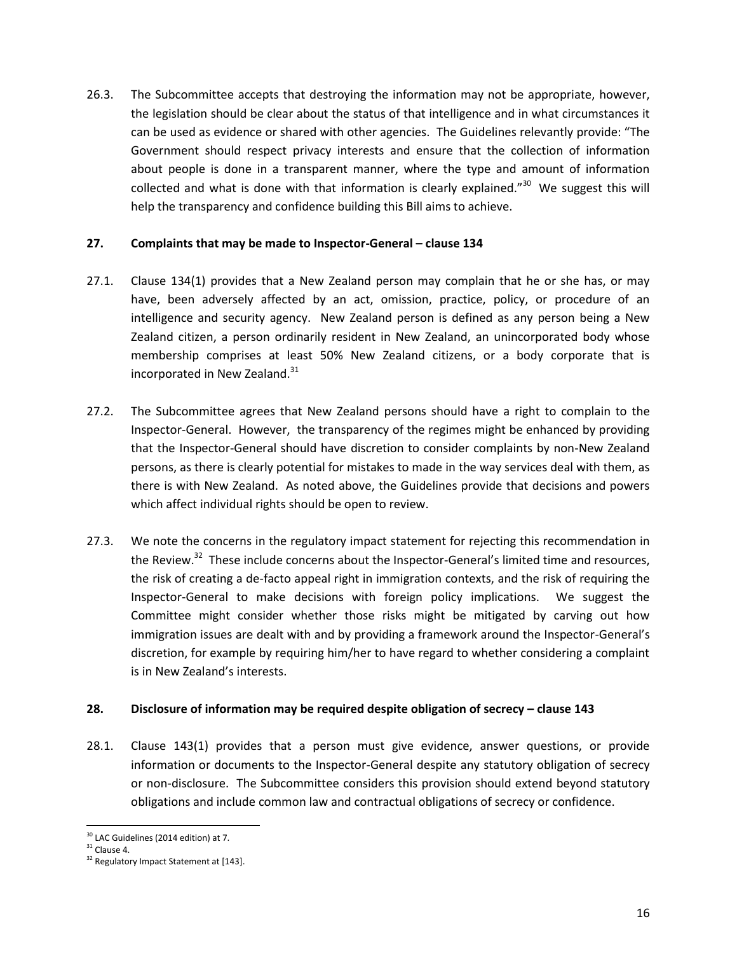26.3. The Subcommittee accepts that destroying the information may not be appropriate, however, the legislation should be clear about the status of that intelligence and in what circumstances it can be used as evidence or shared with other agencies. The Guidelines relevantly provide: "The Government should respect privacy interests and ensure that the collection of information about people is done in a transparent manner, where the type and amount of information collected and what is done with that information is clearly explained."<sup>30</sup> We suggest this will help the transparency and confidence building this Bill aims to achieve.

#### **27. Complaints that may be made to Inspector-General – clause 134**

- 27.1. Clause 134(1) provides that a New Zealand person may complain that he or she has, or may have, been adversely affected by an act, omission, practice, policy, or procedure of an intelligence and security agency. New Zealand person is defined as any person being a New Zealand citizen, a person ordinarily resident in New Zealand, an unincorporated body whose membership comprises at least 50% New Zealand citizens, or a body corporate that is incorporated in New Zealand.<sup>31</sup>
- 27.2. The Subcommittee agrees that New Zealand persons should have a right to complain to the Inspector-General. However, the transparency of the regimes might be enhanced by providing that the Inspector-General should have discretion to consider complaints by non-New Zealand persons, as there is clearly potential for mistakes to made in the way services deal with them, as there is with New Zealand. As noted above, the Guidelines provide that decisions and powers which affect individual rights should be open to review.
- 27.3. We note the concerns in the regulatory impact statement for rejecting this recommendation in the Review.<sup>32</sup> These include concerns about the Inspector-General's limited time and resources, the risk of creating a de-facto appeal right in immigration contexts, and the risk of requiring the Inspector-General to make decisions with foreign policy implications. We suggest the Committee might consider whether those risks might be mitigated by carving out how immigration issues are dealt with and by providing a framework around the Inspector-General's discretion, for example by requiring him/her to have regard to whether considering a complaint is in New Zealand's interests.

#### **28. Disclosure of information may be required despite obligation of secrecy – clause 143**

28.1. Clause 143(1) provides that a person must give evidence, answer questions, or provide information or documents to the Inspector-General despite any statutory obligation of secrecy or non-disclosure. The Subcommittee considers this provision should extend beyond statutory obligations and include common law and contractual obligations of secrecy or confidence.

 $\overline{a}$  $30$  LAC Guidelines (2014 edition) at 7.

 $31$  Clause 4.

<sup>&</sup>lt;sup>32</sup> Regulatory Impact Statement at [143].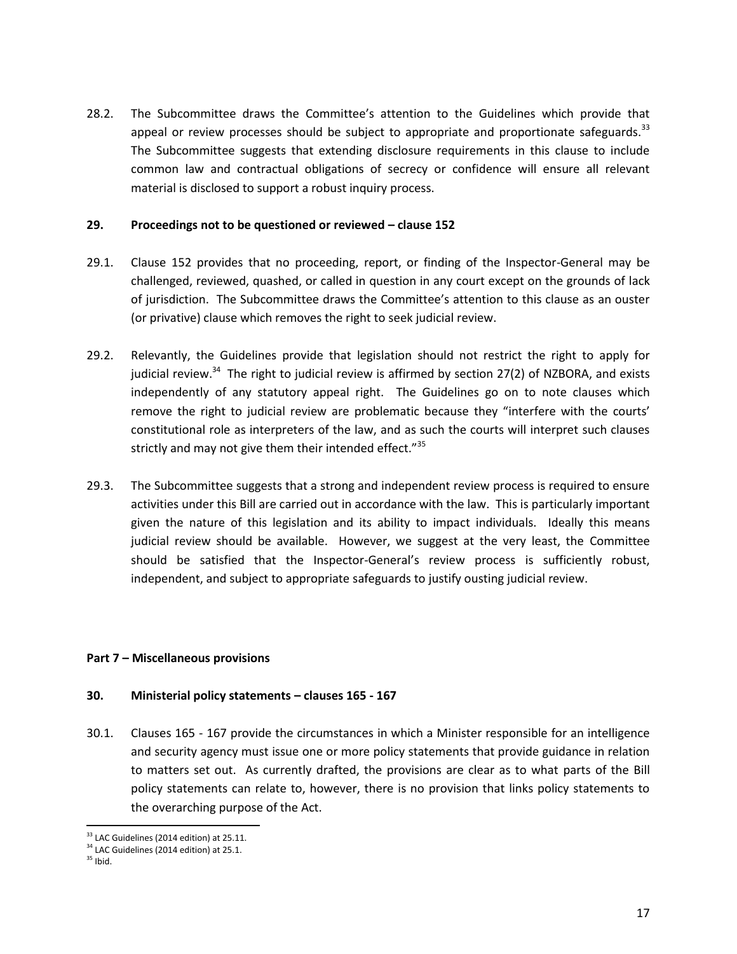28.2. The Subcommittee draws the Committee's attention to the Guidelines which provide that appeal or review processes should be subject to appropriate and proportionate safeguards.<sup>33</sup> The Subcommittee suggests that extending disclosure requirements in this clause to include common law and contractual obligations of secrecy or confidence will ensure all relevant material is disclosed to support a robust inquiry process.

#### **29. Proceedings not to be questioned or reviewed – clause 152**

- 29.1. Clause 152 provides that no proceeding, report, or finding of the Inspector-General may be challenged, reviewed, quashed, or called in question in any court except on the grounds of lack of jurisdiction. The Subcommittee draws the Committee's attention to this clause as an ouster (or privative) clause which removes the right to seek judicial review.
- 29.2. Relevantly, the Guidelines provide that legislation should not restrict the right to apply for judicial review.<sup>34</sup> The right to judicial review is affirmed by section 27(2) of NZBORA, and exists independently of any statutory appeal right. The Guidelines go on to note clauses which remove the right to judicial review are problematic because they "interfere with the courts' constitutional role as interpreters of the law, and as such the courts will interpret such clauses strictly and may not give them their intended effect."<sup>35</sup>
- 29.3. The Subcommittee suggests that a strong and independent review process is required to ensure activities under this Bill are carried out in accordance with the law. This is particularly important given the nature of this legislation and its ability to impact individuals. Ideally this means judicial review should be available. However, we suggest at the very least, the Committee should be satisfied that the Inspector-General's review process is sufficiently robust, independent, and subject to appropriate safeguards to justify ousting judicial review.

# **Part 7 – Miscellaneous provisions**

#### **30. Ministerial policy statements – clauses 165 - 167**

30.1. Clauses 165 - 167 provide the circumstances in which a Minister responsible for an intelligence and security agency must issue one or more policy statements that provide guidance in relation to matters set out. As currently drafted, the provisions are clear as to what parts of the Bill policy statements can relate to, however, there is no provision that links policy statements to the overarching purpose of the Act.

 $\overline{a}$  $33$  LAC Guidelines (2014 edition) at 25.11.

<sup>&</sup>lt;sup>34</sup> LAC Guidelines (2014 edition) at 25.1.

 $35$  Ibid.